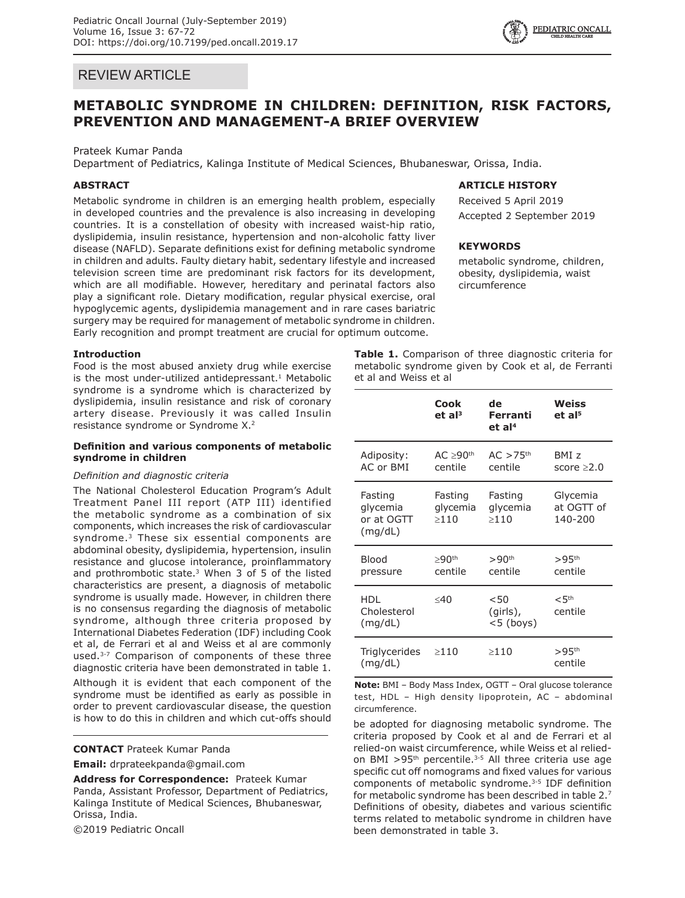## REVIEW ARTICLE

# **METABOLIC SYNDROME IN CHILDREN: DEFINITION, RISK FACTORS, PREVENTION AND MANAGEMENT-A BRIEF OVERVIEW**

#### Prateek Kumar Panda

Department of Pediatrics, Kalinga Institute of Medical Sciences, Bhubaneswar, Orissa, India.

## **ABSTRACT**

Metabolic syndrome in children is an emerging health problem, especially in developed countries and the prevalence is also increasing in developing countries. It is a constellation of obesity with increased waist-hip ratio, dyslipidemia, insulin resistance, hypertension and non-alcoholic fatty liver disease (NAFLD). Separate definitions exist for defining metabolic syndrome in children and adults. Faulty dietary habit, sedentary lifestyle and increased television screen time are predominant risk factors for its development, which are all modifiable. However, hereditary and perinatal factors also play a significant role. Dietary modification, regular physical exercise, oral hypoglycemic agents, dyslipidemia management and in rare cases bariatric surgery may be required for management of metabolic syndrome in children. Early recognition and prompt treatment are crucial for optimum outcome.

#### **Introduction**

Food is the most abused anxiety drug while exercise is the most under-utilized antidepressant. $1$  Metabolic syndrome is a syndrome which is characterized by dyslipidemia, insulin resistance and risk of coronary artery disease. Previously it was called Insulin resistance syndrome or Syndrome X.2

## **Definition and various components of metabolic syndrome in children**

## *Definition and diagnostic criteria*

The National Cholesterol Education Program's Adult Treatment Panel III report (ATP III) identified the metabolic syndrome as a combination of six components, which increases the risk of cardiovascular syndrome.<sup>3</sup> These six essential components are abdominal obesity, dyslipidemia, hypertension, insulin resistance and glucose intolerance, proinflammatory and prothrombotic state. $3$  When 3 of 5 of the listed characteristics are present, a diagnosis of metabolic syndrome is usually made. However, in children there is no consensus regarding the diagnosis of metabolic syndrome, although three criteria proposed by International Diabetes Federation (IDF) including Cook et al, de Ferrari et al and Weiss et al are commonly used.<sup>3-7</sup> Comparison of components of these three diagnostic criteria have been demonstrated in table 1.

Although it is evident that each component of the syndrome must be identified as early as possible in order to prevent cardiovascular disease, the question is how to do this in children and which cut-offs should

**CONTACT** Prateek Kumar Panda

**Email:** drprateekpanda@gmail.com

**Address for Correspondence:** Prateek Kumar Panda, Assistant Professor, Department of Pediatrics, Kalinga Institute of Medical Sciences, Bhubaneswar, Orissa, India.

©2019 Pediatric Oncall

**Table 1.** Comparison of three diagnostic criteria for metabolic syndrome given by Cook et al, de Ferranti et al and Weiss et al

|                                              | Cook<br>et al <sup>3</sup>            | de<br>Ferranti<br>et al <sup>4</sup>  | Weiss<br>et al <sup>5</sup>          |
|----------------------------------------------|---------------------------------------|---------------------------------------|--------------------------------------|
| Adiposity:<br>AC or BMI                      | $AC \geq 90$ <sup>th</sup><br>centile | $AC > 75$ <sup>th</sup><br>centile    | BMI <sub>z</sub><br>score $\geq 2.0$ |
| Fasting<br>glycemia<br>or at OGTT<br>(mq/dL) | Fasting<br>glycemia<br>>110           | Fasting<br>glycemia<br>>110           | Glycemia<br>at OGTT of<br>140-200    |
| <b>Blood</b><br>pressure                     | $>90$ <sup>th</sup><br>centile        | >90 <sup>th</sup><br>centile          | $>95$ <sup>th</sup><br>centile       |
| <b>HDL</b><br>Cholesterol<br>(mq/dL)         | $\leq 40$                             | $<$ 50<br>$(girls)$ ,<br>$<$ 5 (boys) | < 5 <sup>th</sup><br>centile         |
| Triglycerides<br>(mq/dL)                     | $\geq$ 110                            | $\geq$ 110                            | $>95$ <sup>th</sup><br>centile       |

**Note:** BMI – Body Mass Index, OGTT – Oral glucose tolerance test, HDL – High density lipoprotein, AC – abdominal circumference.

be adopted for diagnosing metabolic syndrome. The criteria proposed by Cook et al and de Ferrari et al relied-on waist circumference, while Weiss et al reliedon BMI  $>95$ <sup>th</sup> percentile.<sup>3-5</sup> All three criteria use age specific cut off nomograms and fixed values for various components of metabolic syndrome.3-5 IDF definition for metabolic syndrome has been described in table 2.7 Definitions of obesity, diabetes and various scientific terms related to metabolic syndrome in children have been demonstrated in table 3.



## **ARTICLE HISTORY**

Received 5 April 2019 Accepted 2 September 2019

### **KEYWORDS**

metabolic syndrome, children, obesity, dyslipidemia, waist circumference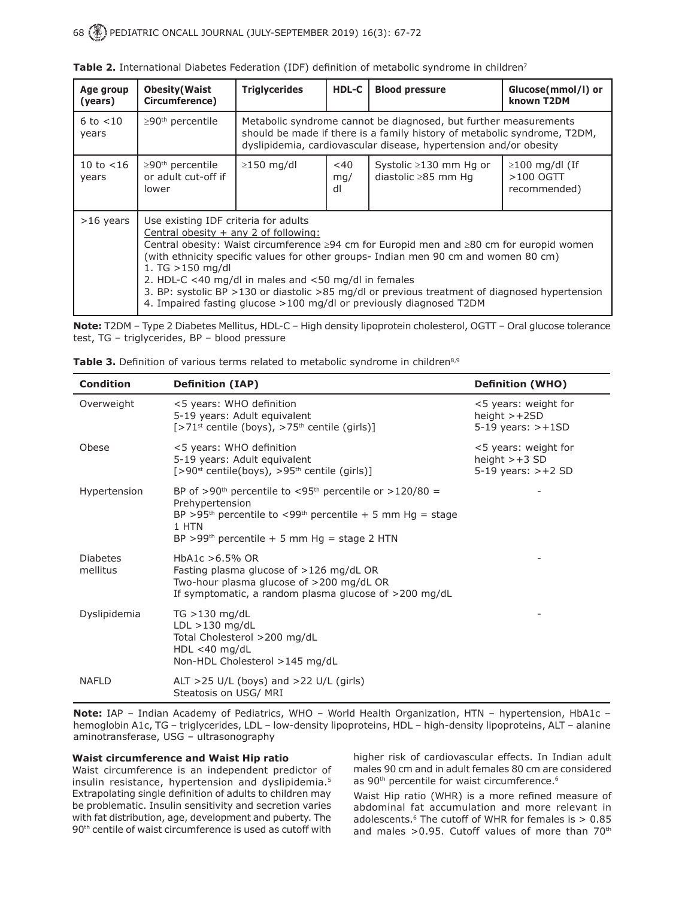| Age group<br>(years)  | <b>Obesity (Waist</b><br>Circumference)                                                                                                                                                                                                                                                                                                                                                                                                                                                                                      | <b>Triglycerides</b>                                                                                                                                                                                              | <b>HDL-C</b>        | <b>Blood pressure</b>                               | Glucose(mmol/l) or<br>known T2DM                    |
|-----------------------|------------------------------------------------------------------------------------------------------------------------------------------------------------------------------------------------------------------------------------------------------------------------------------------------------------------------------------------------------------------------------------------------------------------------------------------------------------------------------------------------------------------------------|-------------------------------------------------------------------------------------------------------------------------------------------------------------------------------------------------------------------|---------------------|-----------------------------------------------------|-----------------------------------------------------|
| 6 to $<$ 10<br>years  | $\geq$ 90 <sup>th</sup> percentile                                                                                                                                                                                                                                                                                                                                                                                                                                                                                           | Metabolic syndrome cannot be diagnosed, but further measurements<br>should be made if there is a family history of metabolic syndrome, T2DM,<br>dyslipidemia, cardiovascular disease, hypertension and/or obesity |                     |                                                     |                                                     |
| 10 to $<$ 16<br>years | $\geq$ 90 <sup>th</sup> percentile<br>or adult cut-off if<br>lower                                                                                                                                                                                                                                                                                                                                                                                                                                                           | $\geq$ 150 mg/dl                                                                                                                                                                                                  | $<$ 40<br>mq/<br>dl | Systolic ≥130 mm Hg or<br>diastolic $\geq$ 85 mm Hq | $\geq$ 100 mg/dl (If<br>$>100$ OGTT<br>recommended) |
| $>16$ years           | Use existing IDF criteria for adults<br>Central obesity $+$ any 2 of following:<br>Central obesity: Waist circumference ≥94 cm for Europid men and ≥80 cm for europid women<br>(with ethnicity specific values for other groups- Indian men 90 cm and women 80 cm)<br>1. $TG > 150$ mg/dl<br>2. HDL-C <40 mg/dl in males and <50 mg/dl in females<br>3. BP: systolic BP > 130 or diastolic > 85 mg/dl or previous treatment of diagnosed hypertension<br>4. Impaired fasting glucose >100 mg/dl or previously diagnosed T2DM |                                                                                                                                                                                                                   |                     |                                                     |                                                     |

Table 2. International Diabetes Federation (IDF) definition of metabolic syndrome in children<sup>7</sup>

**Note:** T2DM – Type 2 Diabetes Mellitus, HDL-C – High density lipoprotein cholesterol, OGTT – Oral glucose tolerance test, TG – triglycerides, BP – blood pressure

| <b>Table 3.</b> Definition of various terms related to metabolic syndrome in children <sup>8,9</sup> |  |  |  |  |  |
|------------------------------------------------------------------------------------------------------|--|--|--|--|--|
|------------------------------------------------------------------------------------------------------|--|--|--|--|--|

| <b>Condition</b>            | <b>Definition (IAP)</b>                                                                                                                                                                                                                                     | <b>Definition (WHO)</b>                                             |
|-----------------------------|-------------------------------------------------------------------------------------------------------------------------------------------------------------------------------------------------------------------------------------------------------------|---------------------------------------------------------------------|
| Overweight                  | <5 years: WHO definition<br>5-19 years: Adult equivalent<br>[>71 <sup>st</sup> centile (boys), >75 <sup>th</sup> centile (girls)]                                                                                                                           | <5 years: weight for<br>height $> +2SD$<br>$5-19$ years: $>+1SD$    |
| Obese                       | <5 years: WHO definition<br>5-19 years: Adult equivalent<br>$[>90^{st}$ centile(boys), $>95^{th}$ centile (girls)]                                                                                                                                          | <5 years: weight for<br>height $> +3$ SD<br>$5-19$ years: $> +2$ SD |
| Hypertension                | BP of >90 <sup>th</sup> percentile to <95 <sup>th</sup> percentile or >120/80 =<br>Prehypertension<br>BP >95 <sup>th</sup> percentile to <99 <sup>th</sup> percentile + 5 mm Hg = stage<br>1 HTN<br>BP >99 <sup>th</sup> percentile + 5 mm Hg = stage 2 HTN |                                                                     |
| <b>Diabetes</b><br>mellitus | HbA1c $>6.5\%$ OR<br>Fasting plasma glucose of >126 mg/dL OR<br>Two-hour plasma glucose of >200 mg/dL OR<br>If symptomatic, a random plasma glucose of >200 mg/dL                                                                                           |                                                                     |
| Dyslipidemia                | $TG > 130$ mg/dL<br>$LDL > 130$ mg/dL<br>Total Cholesterol >200 mg/dL<br>$HDL < 40$ mg/dL<br>Non-HDL Cholesterol >145 mg/dL                                                                                                                                 |                                                                     |
| <b>NAFLD</b>                | ALT >25 U/L (boys) and >22 U/L (girls)<br>Steatosis on USG/ MRI                                                                                                                                                                                             |                                                                     |

**Note:** IAP – Indian Academy of Pediatrics, WHO – World Health Organization, HTN – hypertension, HbA1c – hemoglobin A1c, TG – triglycerides, LDL – low-density lipoproteins, HDL – high-density lipoproteins, ALT – alanine aminotransferase, USG – ultrasonography

## **Waist circumference and Waist Hip ratio**

Waist circumference is an independent predictor of insulin resistance, hypertension and dyslipidemia.5 Extrapolating single definition of adults to children may be problematic. Insulin sensitivity and secretion varies with fat distribution, age, development and puberty. The 90th centile of waist circumference is used as cutoff with higher risk of cardiovascular effects. In Indian adult males 90 cm and in adult females 80 cm are considered as 90<sup>th</sup> percentile for waist circumference.<sup>6</sup>

Waist Hip ratio (WHR) is a more refined measure of abdominal fat accumulation and more relevant in adolescents. $6$  The cutoff of WHR for females is  $> 0.85$ and males  $>0.95$ . Cutoff values of more than  $70<sup>th</sup>$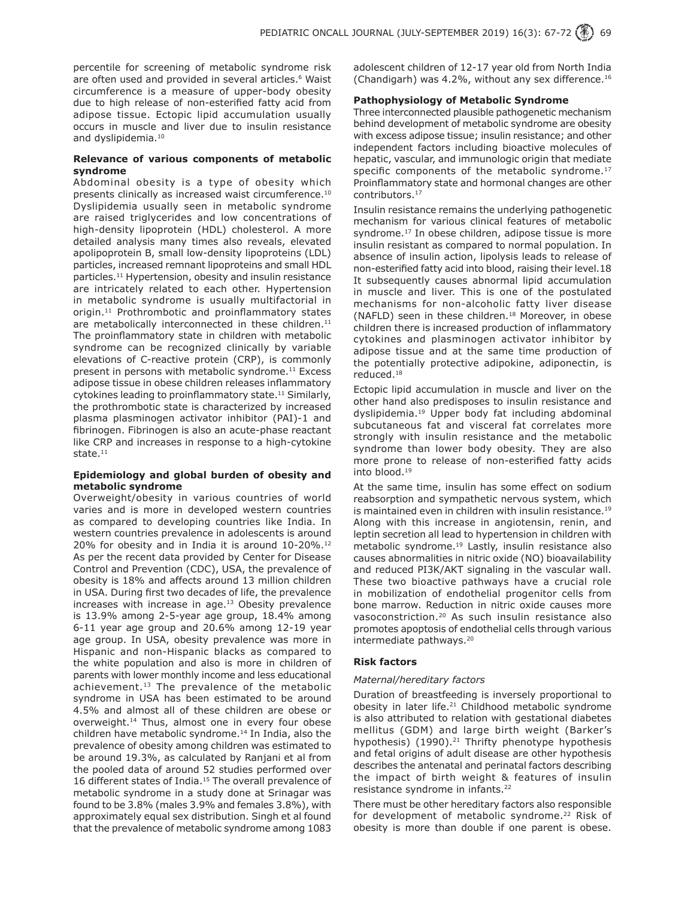percentile for screening of metabolic syndrome risk are often used and provided in several articles.<sup>6</sup> Waist circumference is a measure of upper-body obesity due to high release of non-esterified fatty acid from adipose tissue. Ectopic lipid accumulation usually occurs in muscle and liver due to insulin resistance and dyslipidemia.<sup>10</sup>

## **Relevance of various components of metabolic syndrome**

Abdominal obesity is a type of obesity which presents clinically as increased waist circumference.10 Dyslipidemia usually seen in metabolic syndrome are raised triglycerides and low concentrations of high-density lipoprotein (HDL) cholesterol. A more detailed analysis many times also reveals, elevated apolipoprotein B, small low-density lipoproteins (LDL) particles, increased remnant lipoproteins and small HDL particles.11 Hypertension, obesity and insulin resistance are intricately related to each other. Hypertension in metabolic syndrome is usually multifactorial in origin.<sup>11</sup> Prothrombotic and proinflammatory states are metabolically interconnected in these children.<sup>11</sup> The proinflammatory state in children with metabolic syndrome can be recognized clinically by variable elevations of C-reactive protein (CRP), is commonly present in persons with metabolic syndrome.<sup>11</sup> Excess adipose tissue in obese children releases inflammatory cytokines leading to proinflammatory state.<sup>11</sup> Similarly, the prothrombotic state is characterized by increased plasma plasminogen activator inhibitor (PAI)-1 and fibrinogen. Fibrinogen is also an acute-phase reactant like CRP and increases in response to a high-cytokine state. $11$ 

## **Epidemiology and global burden of obesity and metabolic syndrome**

Overweight/obesity in various countries of world varies and is more in developed western countries as compared to developing countries like India. In western countries prevalence in adolescents is around 20% for obesity and in India it is around 10-20%.<sup>12</sup> As per the recent data provided by Center for Disease Control and Prevention (CDC), USA, the prevalence of obesity is 18% and affects around 13 million children in USA. During first two decades of life, the prevalence increases with increase in age. $13$  Obesity prevalence is 13.9% among 2-5-year age group, 18.4% among 6-11 year age group and 20.6% among 12-19 year age group. In USA, obesity prevalence was more in Hispanic and non-Hispanic blacks as compared to the white population and also is more in children of parents with lower monthly income and less educational achievement.<sup>13</sup> The prevalence of the metabolic syndrome in USA has been estimated to be around 4.5% and almost all of these children are obese or overweight.<sup>14</sup> Thus, almost one in every four obese children have metabolic syndrome.<sup>14</sup> In India, also the prevalence of obesity among children was estimated to be around 19.3%, as calculated by Ranjani et al from the pooled data of around 52 studies performed over 16 different states of India.<sup>15</sup> The overall prevalence of metabolic syndrome in a study done at Srinagar was found to be 3.8% (males 3.9% and females 3.8%), with approximately equal sex distribution. Singh et al found that the prevalence of metabolic syndrome among 1083

adolescent children of 12-17 year old from North India (Chandigarh) was 4.2%, without any sex difference.<sup>16</sup>

## **Pathophysiology of Metabolic Syndrome**

Three interconnected plausible pathogenetic mechanism behind development of metabolic syndrome are obesity with excess adipose tissue; insulin resistance; and other independent factors including bioactive molecules of hepatic, vascular, and immunologic origin that mediate specific components of the metabolic syndrome.<sup>17</sup> Proinflammatory state and hormonal changes are other contributors.17

Insulin resistance remains the underlying pathogenetic mechanism for various clinical features of metabolic syndrome.<sup>17</sup> In obese children, adipose tissue is more insulin resistant as compared to normal population. In absence of insulin action, lipolysis leads to release of non-esterified fatty acid into blood, raising their level.18 It subsequently causes abnormal lipid accumulation in muscle and liver. This is one of the postulated mechanisms for non-alcoholic fatty liver disease (NAFLD) seen in these children.18 Moreover, in obese children there is increased production of inflammatory cytokines and plasminogen activator inhibitor by adipose tissue and at the same time production of the potentially protective adipokine, adiponectin, is reduced.18

Ectopic lipid accumulation in muscle and liver on the other hand also predisposes to insulin resistance and dyslipidemia.<sup>19</sup> Upper body fat including abdominal subcutaneous fat and visceral fat correlates more strongly with insulin resistance and the metabolic syndrome than lower body obesity. They are also more prone to release of non-esterified fatty acids into blood.19

At the same time, insulin has some effect on sodium reabsorption and sympathetic nervous system, which is maintained even in children with insulin resistance.<sup>19</sup> Along with this increase in angiotensin, renin, and leptin secretion all lead to hypertension in children with metabolic syndrome.19 Lastly, insulin resistance also causes abnormalities in nitric oxide (NO) bioavailability and reduced PI3K/AKT signaling in the vascular wall. These two bioactive pathways have a crucial role in mobilization of endothelial progenitor cells from bone marrow. Reduction in nitric oxide causes more vasoconstriction.20 As such insulin resistance also promotes apoptosis of endothelial cells through various intermediate pathways.<sup>20</sup>

## **Risk factors**

## *Maternal/hereditary factors*

Duration of breastfeeding is inversely proportional to obesity in later life. $21$  Childhood metabolic syndrome is also attributed to relation with gestational diabetes mellitus (GDM) and large birth weight (Barker's hypothesis)  $(1990).^{21}$  Thrifty phenotype hypothesis and fetal origins of adult disease are other hypothesis describes the antenatal and perinatal factors describing the impact of birth weight & features of insulin resistance syndrome in infants.<sup>22</sup>

There must be other hereditary factors also responsible for development of metabolic syndrome.<sup>22</sup> Risk of obesity is more than double if one parent is obese.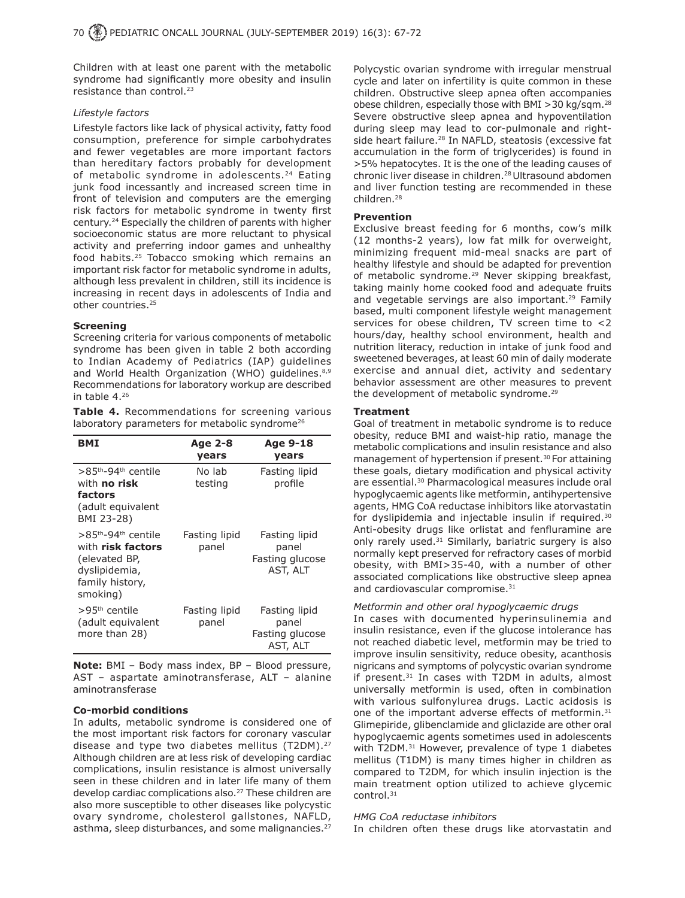Children with at least one parent with the metabolic syndrome had significantly more obesity and insulin resistance than control.<sup>23</sup>

### *Lifestyle factors*

Lifestyle factors like lack of physical activity, fatty food consumption, preference for simple carbohydrates and fewer vegetables are more important factors than hereditary factors probably for development of metabolic syndrome in adolescents.<sup>24</sup> Eating junk food incessantly and increased screen time in front of television and computers are the emerging risk factors for metabolic syndrome in twenty first century.24 Especially the children of parents with higher socioeconomic status are more reluctant to physical activity and preferring indoor games and unhealthy food habits.<sup>25</sup> Tobacco smoking which remains an important risk factor for metabolic syndrome in adults, although less prevalent in children, still its incidence is increasing in recent days in adolescents of India and other countries.25

## **Screening**

Screening criteria for various components of metabolic syndrome has been given in table 2 both according to Indian Academy of Pediatrics (IAP) guidelines and World Health Organization (WHO) guidelines. 8,9 Recommendations for laboratory workup are described in table 4.26

**Table 4.** Recommendations for screening various laboratory parameters for metabolic syndrome $^{26}$ 

| BMI                                                                                                                               | Age 2-8<br>years       | Age 9-18<br>years                                     |
|-----------------------------------------------------------------------------------------------------------------------------------|------------------------|-------------------------------------------------------|
| >85 <sup>th</sup> -94 <sup>th</sup> centile<br>with <b>no risk</b><br>factors<br>(adult equivalent<br>BMI 23-28)                  | No lab<br>testing      | Fasting lipid<br>profile                              |
| >85 <sup>th</sup> -94 <sup>th</sup> centile<br>with risk factors<br>(elevated BP,<br>dyslipidemia,<br>family history,<br>smoking) | Fasting lipid<br>panel | Fasting lipid<br>panel<br>Fasting glucose<br>AST, ALT |
| >95 <sup>th</sup> centile<br>(adult equivalent<br>more than 28)                                                                   | Fasting lipid<br>panel | Fasting lipid<br>panel<br>Fasting glucose<br>AST, ALT |

**Note:** BMI – Body mass index, BP – Blood pressure, AST – aspartate aminotransferase, ALT – alanine aminotransferase

#### **Co-morbid conditions**

In adults, metabolic syndrome is considered one of the most important risk factors for coronary vascular disease and type two diabetes mellitus (T2DM).<sup>27</sup> Although children are at less risk of developing cardiac complications, insulin resistance is almost universally seen in these children and in later life many of them develop cardiac complications also.<sup>27</sup> These children are also more susceptible to other diseases like polycystic ovary syndrome, cholesterol gallstones, NAFLD, asthma, sleep disturbances, and some malignancies.<sup>27</sup>

Polycystic ovarian syndrome with irregular menstrual cycle and later on infertility is quite common in these children. Obstructive sleep apnea often accompanies obese children, especially those with BMI >30 kg/sqm.28 Severe obstructive sleep apnea and hypoventilation during sleep may lead to cor-pulmonale and rightside heart failure.<sup>28</sup> In NAFLD, steatosis (excessive fat accumulation in the form of triglycerides) is found in >5% hepatocytes. It is the one of the leading causes of chronic liver disease in children.<sup>28</sup> Ultrasound abdomen and liver function testing are recommended in these children.28

## **Prevention**

Exclusive breast feeding for 6 months, cow's milk (12 months-2 years), low fat milk for overweight, minimizing frequent mid-meal snacks are part of healthy lifestyle and should be adapted for prevention of metabolic syndrome.<sup>29</sup> Never skipping breakfast, taking mainly home cooked food and adequate fruits and vegetable servings are also important.<sup>29</sup> Family based, multi component lifestyle weight management services for obese children, TV screen time to <2 hours/day, healthy school environment, health and nutrition literacy, reduction in intake of junk food and sweetened beverages, at least 60 min of daily moderate exercise and annual diet, activity and sedentary behavior assessment are other measures to prevent the development of metabolic syndrome.<sup>29</sup>

## **Treatment**

Goal of treatment in metabolic syndrome is to reduce obesity, reduce BMI and waist-hip ratio, manage the metabolic complications and insulin resistance and also management of hypertension if present.<sup>30</sup> For attaining these goals, dietary modification and physical activity are essential.<sup>30</sup> Pharmacological measures include oral hypoglycaemic agents like metformin, antihypertensive agents, HMG CoA reductase inhibitors like atorvastatin for dyslipidemia and injectable insulin if required.<sup>30</sup> Anti-obesity drugs like orlistat and fenfluramine are only rarely used.<sup>31</sup> Similarly, bariatric surgery is also normally kept preserved for refractory cases of morbid obesity, with BMI>35-40, with a number of other associated complications like obstructive sleep apnea and cardiovascular compromise.<sup>31</sup>

#### *Metformin and other oral hypoglycaemic drugs*

In cases with documented hyperinsulinemia and insulin resistance, even if the glucose intolerance has not reached diabetic level, metformin may be tried to improve insulin sensitivity, reduce obesity, acanthosis nigricans and symptoms of polycystic ovarian syndrome if present.<sup>31</sup> In cases with T2DM in adults, almost universally metformin is used, often in combination with various sulfonylurea drugs. Lactic acidosis is one of the important adverse effects of metformin.<sup>31</sup> Glimepiride, glibenclamide and gliclazide are other oral hypoglycaemic agents sometimes used in adolescents with T2DM.<sup>31</sup> However, prevalence of type 1 diabetes mellitus (T1DM) is many times higher in children as compared to T2DM, for which insulin injection is the main treatment option utilized to achieve glycemic control.31

#### *HMG CoA reductase inhibitors*

In children often these drugs like atorvastatin and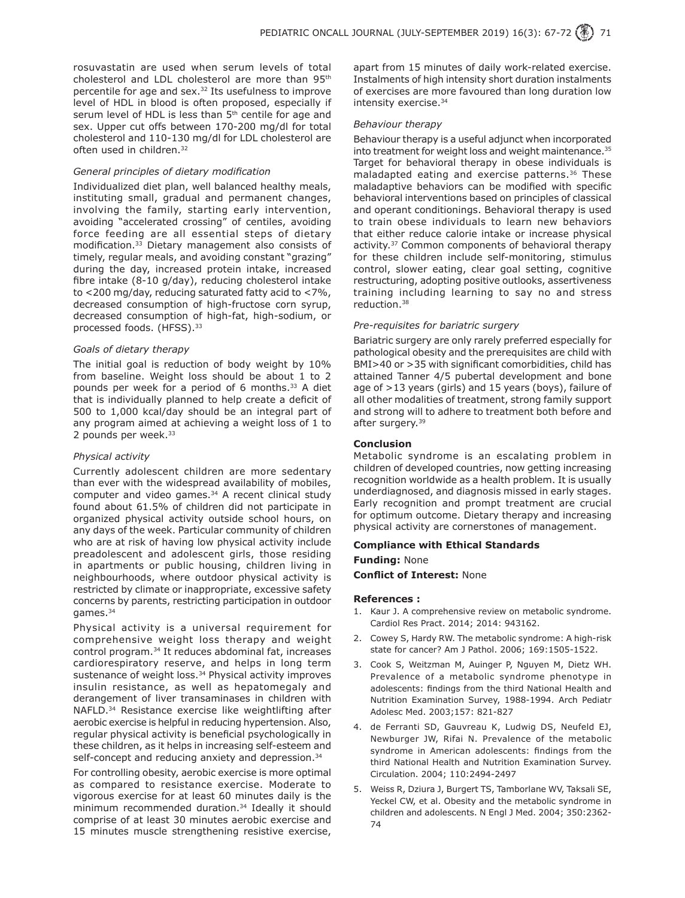rosuvastatin are used when serum levels of total cholesterol and LDL cholesterol are more than 95<sup>th</sup> percentile for age and sex.<sup>32</sup> Its usefulness to improve level of HDL in blood is often proposed, especially if serum level of HDL is less than 5<sup>th</sup> centile for age and sex. Upper cut offs between 170-200 mg/dl for total cholesterol and 110-130 mg/dl for LDL cholesterol are often used in children.32

## *General principles of dietary modification*

Individualized diet plan, well balanced healthy meals, instituting small, gradual and permanent changes, involving the family, starting early intervention, avoiding "accelerated crossing" of centiles, avoiding force feeding are all essential steps of dietary modification.33 Dietary management also consists of timely, regular meals, and avoiding constant "grazing" during the day, increased protein intake, increased fibre intake (8-10 g/day), reducing cholesterol intake to <200 mg/day, reducing saturated fatty acid to <7%, decreased consumption of high-fructose corn syrup, decreased consumption of high-fat, high-sodium, or processed foods. (HFSS).<sup>33</sup>

#### *Goals of dietary therapy*

The initial goal is reduction of body weight by 10% from baseline. Weight loss should be about 1 to 2 pounds per week for a period of 6 months.33 A diet that is individually planned to help create a deficit of 500 to 1,000 kcal/day should be an integral part of any program aimed at achieving a weight loss of 1 to 2 pounds per week.<sup>33</sup>

#### *Physical activity*

Currently adolescent children are more sedentary than ever with the widespread availability of mobiles, computer and video games.<sup>34</sup> A recent clinical study found about 61.5% of children did not participate in organized physical activity outside school hours, on any days of the week. Particular community of children who are at risk of having low physical activity include preadolescent and adolescent girls, those residing in apartments or public housing, children living in neighbourhoods, where outdoor physical activity is restricted by climate or inappropriate, excessive safety concerns by parents, restricting participation in outdoor games.34

Physical activity is a universal requirement for comprehensive weight loss therapy and weight control program.34 It reduces abdominal fat, increases cardiorespiratory reserve, and helps in long term sustenance of weight loss.<sup>34</sup> Physical activity improves insulin resistance, as well as hepatomegaly and derangement of liver transaminases in children with NAFLD.34 Resistance exercise like weightlifting after aerobic exercise is helpful in reducing hypertension. Also, regular physical activity is beneficial psychologically in these children, as it helps in increasing self-esteem and self-concept and reducing anxiety and depression.<sup>34</sup>

For controlling obesity, aerobic exercise is more optimal as compared to resistance exercise. Moderate to vigorous exercise for at least 60 minutes daily is the minimum recommended duration.<sup>34</sup> Ideally it should comprise of at least 30 minutes aerobic exercise and 15 minutes muscle strengthening resistive exercise,

apart from 15 minutes of daily work-related exercise. Instalments of high intensity short duration instalments of exercises are more favoured than long duration low intensity exercise.<sup>34</sup>

#### *Behaviour therapy*

Behaviour therapy is a useful adjunct when incorporated into treatment for weight loss and weight maintenance.<sup>35</sup> Target for behavioral therapy in obese individuals is maladapted eating and exercise patterns.<sup>36</sup> These maladaptive behaviors can be modified with specific behavioral interventions based on principles of classical and operant conditionings. Behavioral therapy is used to train obese individuals to learn new behaviors that either reduce calorie intake or increase physical activity.<sup>37</sup> Common components of behavioral therapy for these children include self-monitoring, stimulus control, slower eating, clear goal setting, cognitive restructuring, adopting positive outlooks, assertiveness training including learning to say no and stress reduction.38

#### *Pre-requisites for bariatric surgery*

Bariatric surgery are only rarely preferred especially for pathological obesity and the prerequisites are child with BMI>40 or >35 with significant comorbidities, child has attained Tanner 4/5 pubertal development and bone age of >13 years (girls) and 15 years (boys), failure of all other modalities of treatment, strong family support and strong will to adhere to treatment both before and after surgery.<sup>39</sup>

#### **Conclusion**

Metabolic syndrome is an escalating problem in children of developed countries, now getting increasing recognition worldwide as a health problem. It is usually underdiagnosed, and diagnosis missed in early stages. Early recognition and prompt treatment are crucial for optimum outcome. Dietary therapy and increasing physical activity are cornerstones of management.

#### **Compliance with Ethical Standards**

#### **Funding:** None

**Conflict of Interest:** None

#### **References :**

- 1. Kaur J. A comprehensive review on metabolic syndrome. Cardiol Res Pract. 2014; 2014: 943162.
- 2. Cowey S, Hardy RW. The metabolic syndrome: A high-risk state for cancer? Am J Pathol. 2006; 169:1505-1522.
- 3. Cook S, Weitzman M, Auinger P, Nguyen M, Dietz WH. Prevalence of a metabolic syndrome phenotype in adolescents: findings from the third National Health and Nutrition Examination Survey, 1988-1994. Arch Pediatr Adolesc Med. 2003;157: 821-827
- 4. de Ferranti SD, Gauvreau K, Ludwig DS, Neufeld EJ, Newburger JW, Rifai N. Prevalence of the metabolic syndrome in American adolescents: findings from the third National Health and Nutrition Examination Survey. Circulation. 2004; 110:2494-2497
- 5. Weiss R, Dziura J, Burgert TS, Tamborlane WV, Taksali SE, Yeckel CW, et al. Obesity and the metabolic syndrome in children and adolescents. N Engl J Med. 2004; 350:2362- 74